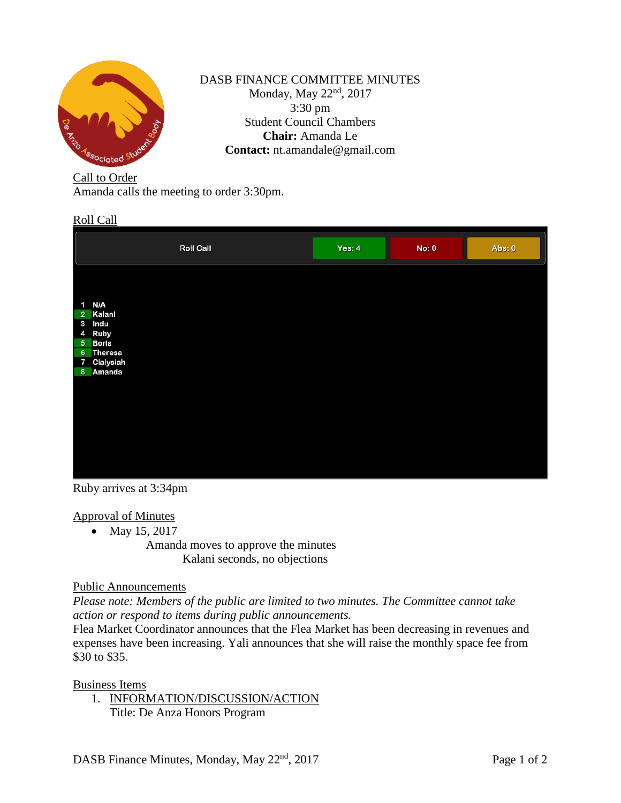

# DASB FINANCE COMMITTEE MINUTES Monday, May 22<sup>nd</sup>, 2017 3:30 pm Student Council Chambers **Chair:** Amanda Le **Contact:** nt.amandale@gmail.com

# Call to Order

Amanda calls the meeting to order 3:30pm.

#### Roll Call

|                | <b>Roll Call</b>       | Yes: $4$ | <b>No: 0</b> | Abs: 0 |
|----------------|------------------------|----------|--------------|--------|
|                |                        |          |              |        |
|                | 1 N/A                  |          |              |        |
|                | 2 Kalani               |          |              |        |
|                | 3 Indu                 |          |              |        |
| 4              | <b>Ruby</b>            |          |              |        |
|                | 5 Boris                |          |              |        |
| $6\phantom{.}$ | Theresa<br>7 Cialysiah |          |              |        |
| 8              | Amanda                 |          |              |        |
|                |                        |          |              |        |
|                |                        |          |              |        |
|                |                        |          |              |        |
|                |                        |          |              |        |
|                |                        |          |              |        |
|                |                        |          |              |        |
|                |                        |          |              |        |
|                |                        |          |              |        |
|                |                        |          |              |        |
|                |                        |          |              |        |

Ruby arrives at 3:34pm

# Approval of Minutes

• May 15, 2017

Amanda moves to approve the minutes Kalani seconds, no objections

#### Public Announcements

*Please note: Members of the public are limited to two minutes. The Committee cannot take action or respond to items during public announcements.* 

Flea Market Coordinator announces that the Flea Market has been decreasing in revenues and expenses have been increasing. Yali announces that she will raise the monthly space fee from \$30 to \$35.

Business Items

1. INFORMATION/DISCUSSION/ACTION Title: De Anza Honors Program